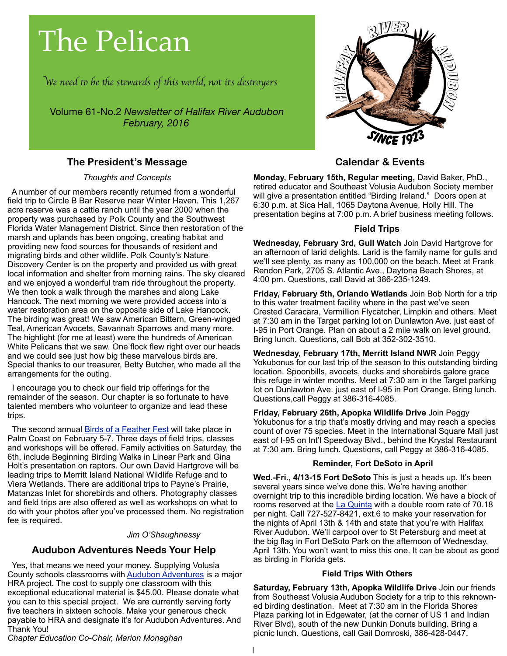# The Pelican

W*e need* " *be* #*e s*\$*wards of* #*is world, not its des*%*oyer*s

Volume 61-No.2 *Newsletter of Halifax River Audubon February, 2016*

# **The President's Message**

### *Thoughts and Concepts*

 A number of our members recently returned from a wonderful field trip to Circle B Bar Reserve near Winter Haven. This 1,267 acre reserve was a cattle ranch until the year 2000 when the property was purchased by Polk County and the Southwest Florida Water Management District. Since then restoration of the marsh and uplands has been ongoing, creating habitat and providing new food sources for thousands of resident and migrating birds and other wildlife. Polk County's Nature Discovery Center is on the property and provided us with great local information and shelter from morning rains. The sky cleared and we enjoyed a wonderful tram ride throughout the property. We then took a walk through the marshes and along Lake Hancock. The next morning we were provided access into a water restoration area on the opposite side of Lake Hancock. The birding was great! We saw American Bittern, Green-winged Teal, American Avocets, Savannah Sparrows and many more. The highlight (for me at least) were the hundreds of American White Pelicans that we saw. One flock flew right over our heads and we could see just how big these marvelous birds are. Special thanks to our treasurer, Betty Butcher, who made all the arrangements for the outing.

 I encourage you to check our field trip offerings for the remainder of the season. Our chapter is so fortunate to have talented members who volunteer to organize and lead these trips.

The second annual **Birds of a Feather Fest** will take place in Palm Coast on February 5-7. Three days of field trips, classes and workshops will be offered. Family activities on Saturday, the 6th, include Beginning Birding Walks in Linear Park and Gina Holt's presentation on raptors. Our own David Hartgrove will be leading trips to Merritt Island National Wildlife Refuge and to Viera Wetlands. There are additional trips to Payne's Prairie, Matanzas Inlet for shorebirds and others. Photography classes and field trips are also offered as well as workshops on what to do with your photos after you've processed them. No registration fee is required.

*Jim O'Shaughnessy*

# **Audubon Adventures Needs Your Help**

 Yes, that means we need your money. Supplying Volusia County schools classrooms with **Audubon Adventures** is a major HRA project. The cost to supply one classroom with this exceptional educational material is \$45.00. Please donate what you can to this special project. We are currently serving forty five teachers in sixteen schools. Make your generous check payable to HRA and designate it's for Audubon Adventures. And Thank You!

*Chapter Education Co-Chair, Marion Monaghan*



# **Calendar & Events**

**Monday, February 15th, Regular meeting,** David Baker, PhD., retired educator and Southeast Volusia Audubon Society member will give a presentation entitled "Birding Ireland." Doors open at 6:30 p.m. at Sica Hall, 1065 Daytona Avenue, Holly Hill. The presentation begins at 7:00 p.m. A brief business meeting follows.

### **Field Trips**

**Wednesday, February 3rd, Gull Watch** Join David Hartgrove for an afternoon of larid delights. Larid is the family name for gulls and we'll see plenty, as many as 100,000 on the beach. Meet at Frank Rendon Park, 2705 S. Atlantic Ave., Daytona Beach Shores, at 4:00 pm. Questions, call David at 386-235-1249.

**Friday, February 5th, Orlando Wetlands** Join Bob North for a trip to this water treatment facility where in the past we've seen Crested Caracara, Vermillion Flycatcher, Limpkin and others. Meet at 7:30 am in the Target parking lot on Dunlawton Ave. just east of I-95 in Port Orange. Plan on about a 2 mile walk on level ground. Bring lunch. Questions, call Bob at 352-302-3510.

**Wednesday, February 17th, Merritt Island NWR** Join Peggy Yokubonus for our last trip of the season to this outstanding birding location. Spoonbills, avocets, ducks and shorebirds galore grace this refuge in winter months. Meet at 7:30 am in the Target parking lot on Dunlawton Ave. just east of I-95 in Port Orange. Bring lunch. Questions,call Peggy at 386-316-4085.

**Friday, February 26th, Apopka Wildlife Drive** Join Peggy Yokubonus for a trip that's mostly driving and may reach a species count of over 75 species. Meet in the International Square Mall just east of I-95 on Int'l Speedway Blvd., behind the Krystal Restaurant at 7:30 am. Bring lunch. Questions, call Peggy at 386-316-4085.

### **Reminder, Fort DeSoto in April**

**Wed.-Fri., 4/13-15 Fort DeSoto** This is just a heads up. It's been several years since we've done this. We're having another overnight trip to this incredible birding location. We have a block of rooms reserved at the [La Quinta](http://livepage.apple.com/) with a double room rate of 70.18 per night. Call 727-527-8421, ext.6 to make your reservation for the nights of April 13th & 14th and state that you're with Halifax River Audubon. We'll carpool over to St Petersburg and meet at the big flag in Fort DeSoto Park on the afternoon of Wednesday, April 13th. You won't want to miss this one. It can be about as good as birding in Florida gets.

### **Field Trips With Others**

**Saturday, February 13th, Apopka Wildlife Drive** Join our friends from Southeast Volusia Audubon Society for a trip to this reknowned birding destination. Meet at 7:30 am in the Florida Shores Plaza parking lot in Edgewater, (at the corner of US 1 and Indian River Blvd), south of the new Dunkin Donuts building. Bring a picnic lunch. Questions, call Gail Domroski, 386-428-0447.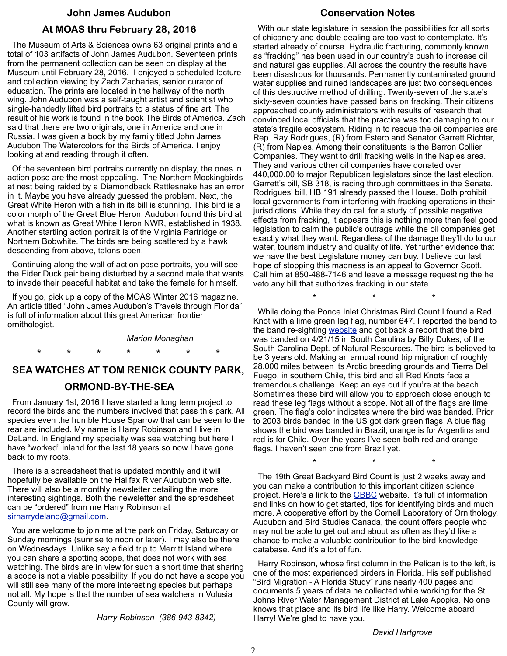# **John James Audubon At MOAS thru February 28, 2016**

 The Museum of Arts & Sciences owns 63 original prints and a total of 103 artifacts of John James Audubon. Seventeen prints from the permanent collection can be seen on display at the Museum until February 28, 2016. I enjoyed a scheduled lecture and collection viewing by Zach Zacharias, senior curator of education. The prints are located in the hallway of the north wing. John Audubon was a self-taught artist and scientist who single-handedly lifted bird portraits to a status of fine art. The result of his work is found in the book The Birds of America. Zach said that there are two originals, one in America and one in Russia. I was given a book by my family titled John James Audubon The Watercolors for the Birds of America. I enjoy looking at and reading through it often.

 Of the seventeen bird portraits currently on display, the ones in action pose are the most appealing. The Northern Mockingbirds at nest being raided by a Diamondback Rattlesnake has an error in it. Maybe you have already guessed the problem. Next, the Great White Heron with a fish in its bill is stunning. This bird is a color morph of the Great Blue Heron. Audubon found this bird at what is known as Great White Heron NWR, established in 1938. Another startling action portrait is of the Virginia Partridge or Northern Bobwhite. The birds are being scattered by a hawk descending from above, talons open.

 Continuing along the wall of action pose portraits, you will see the Eider Duck pair being disturbed by a second male that wants to invade their peaceful habitat and take the female for himself.

 If you go, pick up a copy of the MOAS Winter 2016 magazine. An article titled "John James Audubon's Travels through Florida" is full of information about this great American frontier ornithologist.

#### *Marion Monaghan*

# **SEA WATCHES AT TOM RENICK COUNTY PARK, ORMOND-BY-THE-SEA**

 **\* \* \* \* \* \* \***

 From January 1st, 2016 I have started a long term project to record the birds and the numbers involved that pass this park. All species even the humble House Sparrow that can be seen to the rear are included. My name is Harry Robinson and I live in DeLand. In England my specialty was sea watching but here I have "worked" inland for the last 18 years so now I have gone back to my roots.

 There is a spreadsheet that is updated monthly and it will hopefully be available on the Halifax River Audubon web site. There will also be a monthly newsletter detailing the more interesting sightings. Both the newsletter and the spreadsheet can be "ordered" from me Harry Robinson at [sirharrydeland@gmail.com.](mailto:sirharrydeland@gmail.com)

 You are welcome to join me at the park on Friday, Saturday or Sunday mornings (sunrise to noon or later). I may also be there on Wednesdays. Unlike say a field trip to Merritt Island where you can share a spotting scope, that does not work with sea watching. The birds are in view for such a short time that sharing a scope is not a viable possibility. If you do not have a scope you will still see many of the more interesting species but perhaps not all. My hope is that the number of sea watchers in Volusia County will grow.

*Harry Robinson (386-943-8342)*

### **Conservation Notes**

 With our state legislature in session the possibilities for all sorts of chicanery and double dealing are too vast to contemplate. It's started already of course. Hydraulic fracturing, commonly known as "fracking" has been used in our country's push to increase oil and natural gas supplies. All across the country the results have been disastrous for thousands. Permanently contaminated ground water supplies and ruined landscapes are just two consequences of this destructive method of drilling. Twenty-seven of the state's sixty-seven counties have passed bans on fracking. Their citizens approached county administrators with results of research that convinced local officials that the practice was too damaging to our state's fragile ecosystem. Riding in to rescue the oil companies are Rep. Ray Rodrigues, (R) from Estero and Senator Garrett Richter, (R) from Naples. Among their constituents is the Barron Collier Companies. They want to drill fracking wells in the Naples area. They and various other oil companies have donated over 440,000.00 to major Republican legislators since the last election. Garrett's bill, SB 318, is racing through committees in the Senate. Rodrigues' bill, HB 191 already passed the House. Both prohibit local governments from interfering with fracking operations in their jurisdictions. While they do call for a study of possible negative effects from fracking, it appears this is nothing more than feel good legislation to calm the public's outrage while the oil companies get exactly what they want. Regardless of the damage they'll do to our water, tourism industry and quality of life. Yet further evidence that we have the best Legislature money can buy. I believe our last hope of stopping this madness is an appeal to Governor Scott. Call him at 850-488-7146 and leave a message requesting the he veto any bill that authorizes fracking in our state.

 While doing the Ponce Inlet Christmas Bird Count I found a Red Knot with a lime green leg flag, number 647. I reported the band to the band re-sighting [website](http://www.reportband.gov) and got back a report that the bird was banded on 4/21/15 in South Carolina by Billy Dukes, of the South Carolina Dept. of Natural Resources. The bird is believed to be 3 years old. Making an annual round trip migration of roughly 28,000 miles between its Arctic breeding grounds and Tierra Del Fuego, in southern Chile, this bird and all Red Knots face a tremendous challenge. Keep an eye out if you're at the beach. Sometimes these bird will allow you to approach close enough to read these leg flags without a scope. Not all of the flags are lime green. The flag's color indicates where the bird was banded. Prior to 2003 birds banded in the US got dark green flags. A blue flag shows the bird was banded in Brazil; orange is for Argentina and red is for Chile. Over the years I've seen both red and orange flags. I haven't seen one from Brazil yet.

 $\star$   $\star$   $\star$   $\star$ 

 $\star$   $\star$   $\star$ 

 The 19th Great Backyard Bird Count is just 2 weeks away and you can make a contribution to this important citizen science project. Here's a link to the **GBBC** website. It's full of information and links on how to get started, tips for identifying birds and much more. A cooperative effort by the Cornell Laboratory of Ornithology, Audubon and Bird Studies Canada, the count offers people who may not be able to get out and about as often as they'd like a chance to make a valuable contribution to the bird knowledge database. And it's a lot of fun.

 Harry Robinson, whose first column in the Pelican is to the left, is one of the most experienced birders in Florida. His self published "Bird Migration - A Florida Study" runs nearly 400 pages and documents 5 years of data he collected while working for the St Johns River Water Management District at Lake Apopka. No one knows that place and its bird life like Harry. Welcome aboard Harry! We're glad to have you.

*David Hartgrove*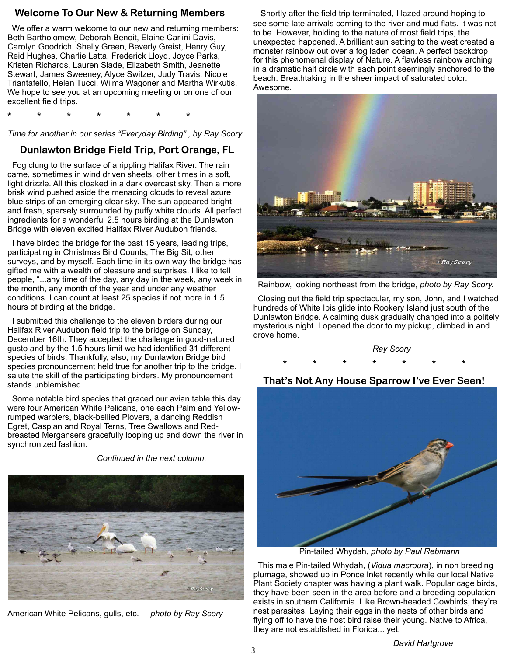# **Welcome To Our New & Returning Members**

 We offer a warm welcome to our new and returning members: Beth Bartholomew, Deborah Benoit, Elaine Carlini-Davis, Carolyn Goodrich, Shelly Green, Beverly Greist, Henry Guy, Reid Hughes, Charlie Latta, Frederick Lloyd, Joyce Parks, Kristen Richards, Lauren Slade, Elizabeth Smith, Jeanette Stewart, James Sweeney, Alyce Switzer, Judy Travis, Nicole Triantafello, Helen Tucci, Wilma Wagoner and Martha Wirkutis. We hope to see you at an upcoming meeting or on one of our excellent field trips.

**\* \* \* \* \* \* \***

*Time for another in our series "Everyday Birding" , by Ray Scory.*

# **Dunlawton Bridge Field Trip, Port Orange, FL**

 Fog clung to the surface of a rippling Halifax River. The rain came, sometimes in wind driven sheets, other times in a soft, light drizzle. All this cloaked in a dark overcast sky. Then a more brisk wind pushed aside the menacing clouds to reveal azure blue strips of an emerging clear sky. The sun appeared bright and fresh, sparsely surrounded by puffy white clouds. All perfect ingredients for a wonderful 2.5 hours birding at the Dunlawton Bridge with eleven excited Halifax River Audubon friends.

 I have birded the bridge for the past 15 years, leading trips, participating in Christmas Bird Counts, The Big Sit, other surveys, and by myself. Each time in its own way the bridge has gifted me with a wealth of pleasure and surprises. I like to tell people, "...any time of the day, any day in the week, any week in the month, any month of the year and under any weather conditions. I can count at least 25 species if not more in 1.5 hours of birding at the bridge.

 I submitted this challenge to the eleven birders during our Halifax River Audubon field trip to the bridge on Sunday, December 16th. They accepted the challenge in good-natured gusto and by the 1.5 hours limit we had identified 31 different species of birds. Thankfully, also, my Dunlawton Bridge bird species pronouncement held true for another trip to the bridge. I salute the skill of the participating birders. My pronouncement stands unblemished.

 Some notable bird species that graced our avian table this day were four American White Pelicans, one each Palm and Yellowrumped warblers, black-bellied Plovers, a dancing Reddish Egret, Caspian and Royal Terns, Tree Swallows and Redbreasted Mergansers gracefully looping up and down the river in synchronized fashion.

*Continued in the next column.*



American White Pelicans, gulls, etc. *photo by Ray Scory*

Shortly after the field trip terminated, I lazed around hoping to see some late arrivals coming to the river and mud flats. It was not to be. However, holding to the nature of most field trips, the unexpected happened. A brilliant sun setting to the west created a monster rainbow out over a fog laden ocean. A perfect backdrop for this phenomenal display of Nature. A flawless rainbow arching in a dramatic half circle with each point seemingly anchored to the beach. Breathtaking in the sheer impact of saturated color. Awesome.



Rainbow, looking northeast from the bridge, *photo by Ray Scory.*

 Closing out the field trip spectacular, my son, John, and I watched hundreds of White Ibis glide into Rookery Island just south of the Dunlawton Bridge. A calming dusk gradually changed into a politely mysterious night. I opened the door to my pickup, climbed in and drove home.



 **That's Not Any House Sparrow I've Ever Seen!**



Pin-tailed Whydah, *photo by Paul Rebmann*

 This male Pin-tailed Whydah, (*Vidua macroura*), in non breeding plumage, showed up in Ponce Inlet recently while our local Native Plant Society chapter was having a plant walk. Popular cage birds, they have been seen in the area before and a breeding population exists in southern California. Like Brown-headed Cowbirds, they're nest parasites. Laying their eggs in the nests of other birds and flying off to have the host bird raise their young. Native to Africa, they are not established in Florida... yet.

*David Hartgrove*